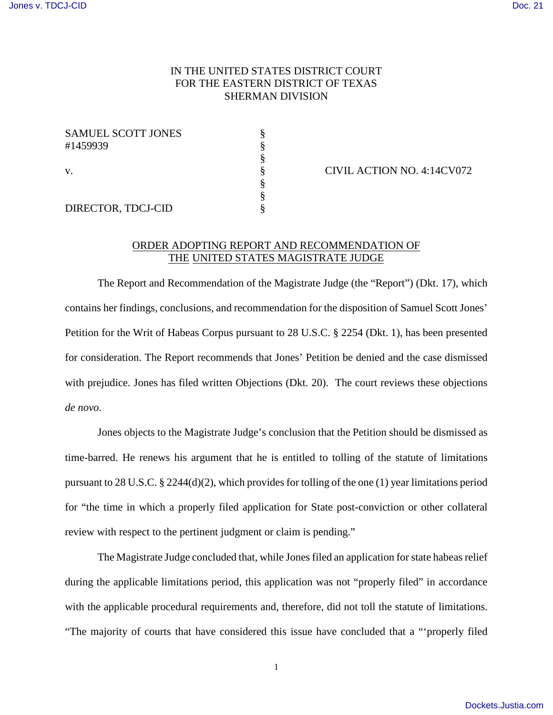## IN THE UNITED STATES DISTRICT COURT FOR THE EASTERN DISTRICT OF TEXAS SHERMAN DIVISION

| <b>SAMUEL SCOTT JONES</b><br>#1459939 |  |
|---------------------------------------|--|
| V.                                    |  |
|                                       |  |
| DIRECTOR, TDCJ-CID                    |  |

CIVIL ACTION NO. 4:14CV072

## ORDER ADOPTING REPORT AND RECOMMENDATION OF THE UNITED STATES MAGISTRATE JUDGE

The Report and Recommendation of the Magistrate Judge (the "Report") (Dkt. 17), which contains her findings, conclusions, and recommendation for the disposition of Samuel Scott Jones' Petition for the Writ of Habeas Corpus pursuant to 28 U.S.C. § 2254 (Dkt. 1), has been presented for consideration. The Report recommends that Jones' Petition be denied and the case dismissed with prejudice. Jones has filed written Objections (Dkt. 20). The court reviews these objections *de novo*.

Jones objects to the Magistrate Judge's conclusion that the Petition should be dismissed as time-barred. He renews his argument that he is entitled to tolling of the statute of limitations pursuant to 28 U.S.C. § 2244(d)(2), which provides for tolling of the one (1) year limitations period for "the time in which a properly filed application for State post-conviction or other collateral review with respect to the pertinent judgment or claim is pending."

The Magistrate Judge concluded that, while Jones filed an application for state habeas relief during the applicable limitations period, this application was not "properly filed" in accordance with the applicable procedural requirements and, therefore, did not toll the statute of limitations. "The majority of courts that have considered this issue have concluded that a "'properly filed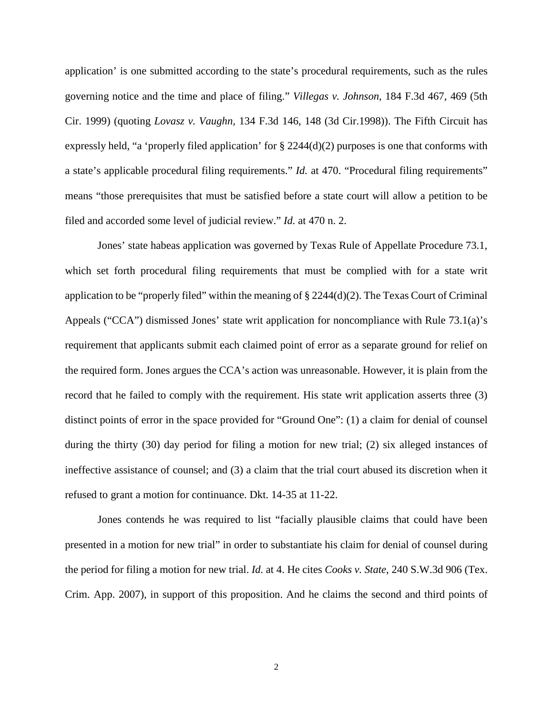application' is one submitted according to the state's procedural requirements, such as the rules governing notice and the time and place of filing." *Villegas v. Johnson*, 184 F.3d 467, 469 (5th Cir. 1999) (quoting *Lovasz v. Vaughn,* 134 F.3d 146, 148 (3d Cir.1998)). The Fifth Circuit has expressly held, "a 'properly filed application' for  $\S$  2244(d)(2) purposes is one that conforms with a state's applicable procedural filing requirements." *Id.* at 470. "Procedural filing requirements" means "those prerequisites that must be satisfied before a state court will allow a petition to be filed and accorded some level of judicial review." *Id.* at 470 n. 2.

Jones' state habeas application was governed by Texas Rule of Appellate Procedure 73.1, which set forth procedural filing requirements that must be complied with for a state writ application to be "properly filed" within the meaning of  $\S 2244(d)(2)$ . The Texas Court of Criminal Appeals ("CCA") dismissed Jones' state writ application for noncompliance with Rule 73.1(a)'s requirement that applicants submit each claimed point of error as a separate ground for relief on the required form. Jones argues the CCA's action was unreasonable. However, it is plain from the record that he failed to comply with the requirement. His state writ application asserts three (3) distinct points of error in the space provided for "Ground One": (1) a claim for denial of counsel during the thirty (30) day period for filing a motion for new trial; (2) six alleged instances of ineffective assistance of counsel; and (3) a claim that the trial court abused its discretion when it refused to grant a motion for continuance. Dkt. 14-35 at 11-22.

Jones contends he was required to list "facially plausible claims that could have been presented in a motion for new trial" in order to substantiate his claim for denial of counsel during the period for filing a motion for new trial. *Id.* at 4. He cites *Cooks v. State*, 240 S.W.3d 906 (Tex. Crim. App. 2007), in support of this proposition. And he claims the second and third points of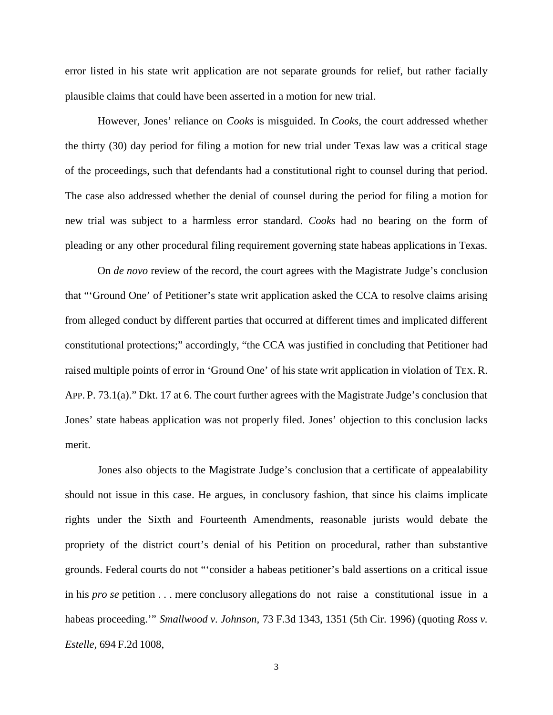error listed in his state writ application are not separate grounds for relief, but rather facially plausible claims that could have been asserted in a motion for new trial.

However, Jones' reliance on *Cooks* is misguided. In *Cooks,* the court addressed whether the thirty (30) day period for filing a motion for new trial under Texas law was a critical stage of the proceedings, such that defendants had a constitutional right to counsel during that period. The case also addressed whether the denial of counsel during the period for filing a motion for new trial was subject to a harmless error standard. *Cooks* had no bearing on the form of pleading or any other procedural filing requirement governing state habeas applications in Texas.

On *de novo* review of the record, the court agrees with the Magistrate Judge's conclusion that "'Ground One' of Petitioner's state writ application asked the CCA to resolve claims arising from alleged conduct by different parties that occurred at different times and implicated different constitutional protections;" accordingly, "the CCA was justified in concluding that Petitioner had raised multiple points of error in 'Ground One' of his state writ application in violation of TEX. R. APP. P. 73.1(a)." Dkt. 17 at 6. The court further agrees with the Magistrate Judge's conclusion that Jones' state habeas application was not properly filed. Jones' objection to this conclusion lacks merit.

Jones also objects to the Magistrate Judge's conclusion that a certificate of appealability should not issue in this case. He argues, in conclusory fashion, that since his claims implicate rights under the Sixth and Fourteenth Amendments, reasonable jurists would debate the propriety of the district court's denial of his Petition on procedural, rather than substantive grounds. Federal courts do not "'consider a habeas petitioner's bald assertions on a critical issue in his *pro se* petition . . . mere conclusory allegations do not raise a constitutional issue in a habeas proceeding.'" *Smallwood v. Johnson,* 73 F.3d 1343, 1351 (5th Cir. 1996) (quoting *Ross v. Estelle,* 694 F.2d 1008,